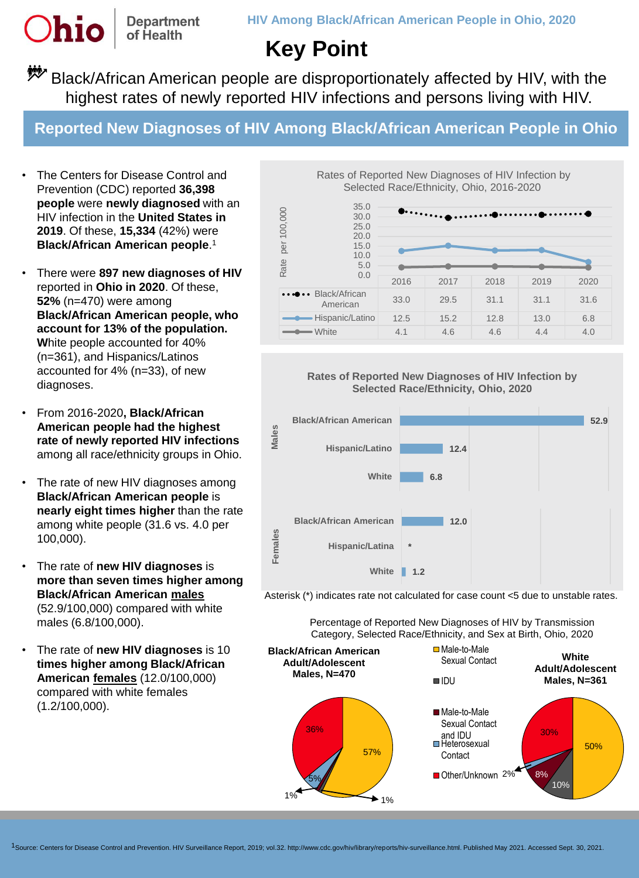**Department** of Health

**Dhio** 

## **Key Point**

**\*\*\*** Black/African American people are disproportionately affected by HIV, with the highest rates of newly reported HIV infections and persons living with HIV.

**Reported New Diagnoses of HIV Among Black/African American People in Ohio**

- The Centers for Disease Control and Prevention (CDC) reported **36,398 people** were **newly diagnosed** with an HIV infection in the **United States in 2019**. Of these, **15,334** (42%) were **Black/African American people**. 1
- There were **897 new diagnoses of HIV**  reported in **Ohio in 2020**. Of these, **52%** (n=470) were among **Black/African American people, who account for 13% of the population. W**hite people accounted for 40% (n=361), and Hispanics/Latinos accounted for 4% (n=33), of new diagnoses.
- From 2016-2020**, Black/African American people had the highest rate of newly reported HIV infections** among all race/ethnicity groups in Ohio.
- The rate of new HIV diagnoses among **Black/African American people** is **nearly eight times higher** than the rate among white people (31.6 vs. 4.0 per 100,000).
- The rate of **new HIV diagnoses** is **more than seven times higher among Black/African American males** (52.9/100,000) compared with white males (6.8/100,000).
- The rate of **new HIV diagnoses** is 10 **times higher among Black/African American females** (12.0/100,000) compared with white females (1.2/100,000).

Rates of Reported New Diagnoses of HIV Infection by Selected Race/Ethnicity, Ohio, 2016-2020







Asterisk (\*) indicates rate not calculated for case count <5 due to unstable rates.

Percentage of Reported New Diagnoses of HIV by Transmission Category, Selected Race/Ethnicity, and Sex at Birth, Ohio, 2020